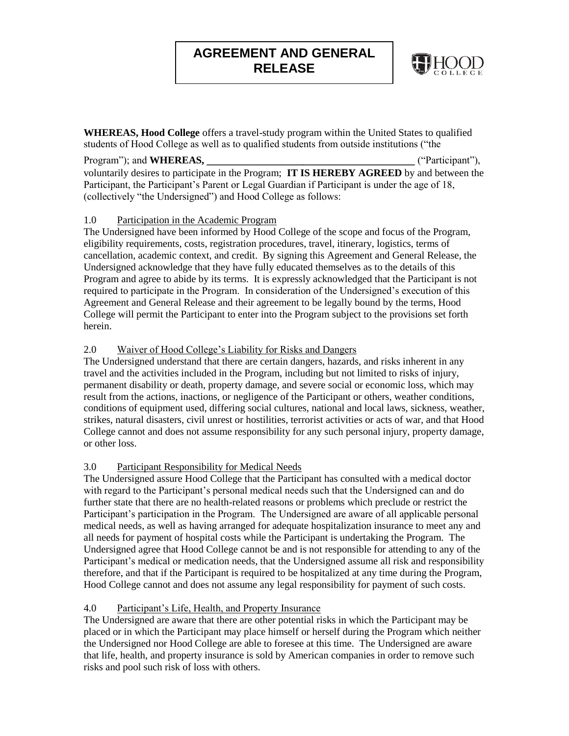# **AGREEMENT AND GENERAL RELEASE**



**WHEREAS, Hood College** offers a travel-study program within the United States to qualified students of Hood College as well as to qualified students from outside institutions ("the

#### Program"); and **WHEREAS,**  $($ <sup>"</sup>Participant"),

voluntarily desires to participate in the Program; **IT IS HEREBY AGREED** by and between the Participant, the Participant's Parent or Legal Guardian if Participant is under the age of 18, (collectively "the Undersigned") and Hood College as follows:

## 1.0 Participation in the Academic Program

The Undersigned have been informed by Hood College of the scope and focus of the Program, eligibility requirements, costs, registration procedures, travel, itinerary, logistics, terms of cancellation, academic context, and credit. By signing this Agreement and General Release, the Undersigned acknowledge that they have fully educated themselves as to the details of this Program and agree to abide by its terms. It is expressly acknowledged that the Participant is not required to participate in the Program. In consideration of the Undersigned's execution of this Agreement and General Release and their agreement to be legally bound by the terms, Hood College will permit the Participant to enter into the Program subject to the provisions set forth herein.

## 2.0 Waiver of Hood College's Liability for Risks and Dangers

The Undersigned understand that there are certain dangers, hazards, and risks inherent in any travel and the activities included in the Program, including but not limited to risks of injury, permanent disability or death, property damage, and severe social or economic loss, which may result from the actions, inactions, or negligence of the Participant or others, weather conditions, conditions of equipment used, differing social cultures, national and local laws, sickness, weather, strikes, natural disasters, civil unrest or hostilities, terrorist activities or acts of war, and that Hood College cannot and does not assume responsibility for any such personal injury, property damage, or other loss.

# 3.0 Participant Responsibility for Medical Needs

The Undersigned assure Hood College that the Participant has consulted with a medical doctor with regard to the Participant's personal medical needs such that the Undersigned can and do further state that there are no health-related reasons or problems which preclude or restrict the Participant's participation in the Program. The Undersigned are aware of all applicable personal medical needs, as well as having arranged for adequate hospitalization insurance to meet any and all needs for payment of hospital costs while the Participant is undertaking the Program. The Undersigned agree that Hood College cannot be and is not responsible for attending to any of the Participant's medical or medication needs, that the Undersigned assume all risk and responsibility therefore, and that if the Participant is required to be hospitalized at any time during the Program, Hood College cannot and does not assume any legal responsibility for payment of such costs.

# 4.0 Participant's Life, Health, and Property Insurance

The Undersigned are aware that there are other potential risks in which the Participant may be placed or in which the Participant may place himself or herself during the Program which neither the Undersigned nor Hood College are able to foresee at this time. The Undersigned are aware that life, health, and property insurance is sold by American companies in order to remove such risks and pool such risk of loss with others.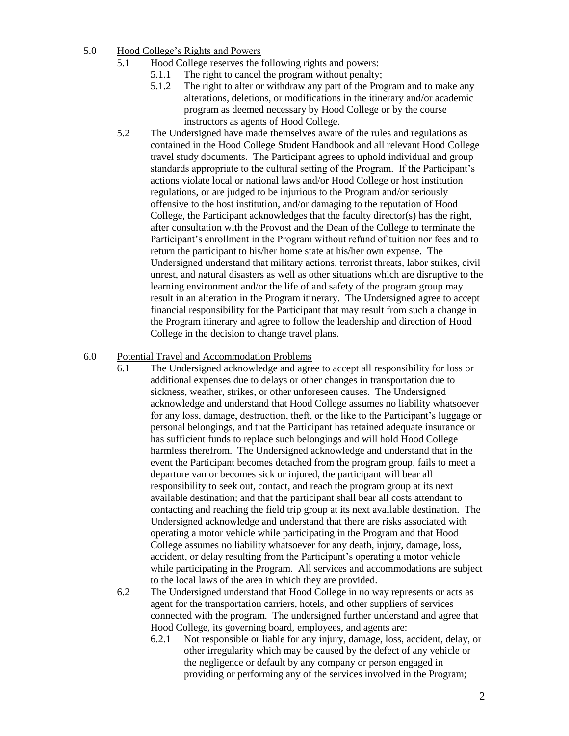#### 5.0 Hood College's Rights and Powers

- 5.1 Hood College reserves the following rights and powers:
	- 5.1.1 The right to cancel the program without penalty;
	- 5.1.2 The right to alter or withdraw any part of the Program and to make any alterations, deletions, or modifications in the itinerary and/or academic program as deemed necessary by Hood College or by the course instructors as agents of Hood College.
- 5.2 The Undersigned have made themselves aware of the rules and regulations as contained in the Hood College Student Handbook and all relevant Hood College travel study documents. The Participant agrees to uphold individual and group standards appropriate to the cultural setting of the Program. If the Participant's actions violate local or national laws and/or Hood College or host institution regulations, or are judged to be injurious to the Program and/or seriously offensive to the host institution, and/or damaging to the reputation of Hood College, the Participant acknowledges that the faculty director(s) has the right, after consultation with the Provost and the Dean of the College to terminate the Participant's enrollment in the Program without refund of tuition nor fees and to return the participant to his/her home state at his/her own expense. The Undersigned understand that military actions, terrorist threats, labor strikes, civil unrest, and natural disasters as well as other situations which are disruptive to the learning environment and/or the life of and safety of the program group may result in an alteration in the Program itinerary. The Undersigned agree to accept financial responsibility for the Participant that may result from such a change in the Program itinerary and agree to follow the leadership and direction of Hood College in the decision to change travel plans.

#### 6.0 Potential Travel and Accommodation Problems

- 6.1 The Undersigned acknowledge and agree to accept all responsibility for loss or additional expenses due to delays or other changes in transportation due to sickness, weather, strikes, or other unforeseen causes. The Undersigned acknowledge and understand that Hood College assumes no liability whatsoever for any loss, damage, destruction, theft, or the like to the Participant's luggage or personal belongings, and that the Participant has retained adequate insurance or has sufficient funds to replace such belongings and will hold Hood College harmless therefrom. The Undersigned acknowledge and understand that in the event the Participant becomes detached from the program group, fails to meet a departure van or becomes sick or injured, the participant will bear all responsibility to seek out, contact, and reach the program group at its next available destination; and that the participant shall bear all costs attendant to contacting and reaching the field trip group at its next available destination. The Undersigned acknowledge and understand that there are risks associated with operating a motor vehicle while participating in the Program and that Hood College assumes no liability whatsoever for any death, injury, damage, loss, accident, or delay resulting from the Participant's operating a motor vehicle while participating in the Program. All services and accommodations are subject to the local laws of the area in which they are provided.
- 6.2 The Undersigned understand that Hood College in no way represents or acts as agent for the transportation carriers, hotels, and other suppliers of services connected with the program. The undersigned further understand and agree that Hood College, its governing board, employees, and agents are:
	- 6.2.1 Not responsible or liable for any injury, damage, loss, accident, delay, or other irregularity which may be caused by the defect of any vehicle or the negligence or default by any company or person engaged in providing or performing any of the services involved in the Program;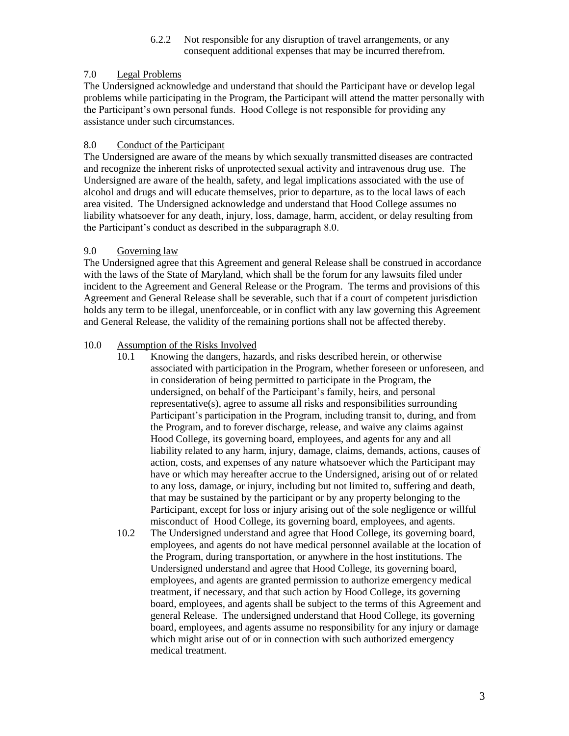#### 6.2.2 Not responsible for any disruption of travel arrangements, or any consequent additional expenses that may be incurred therefrom.

## 7.0 Legal Problems

The Undersigned acknowledge and understand that should the Participant have or develop legal problems while participating in the Program, the Participant will attend the matter personally with the Participant's own personal funds. Hood College is not responsible for providing any assistance under such circumstances.

#### 8.0 Conduct of the Participant

The Undersigned are aware of the means by which sexually transmitted diseases are contracted and recognize the inherent risks of unprotected sexual activity and intravenous drug use. The Undersigned are aware of the health, safety, and legal implications associated with the use of alcohol and drugs and will educate themselves, prior to departure, as to the local laws of each area visited. The Undersigned acknowledge and understand that Hood College assumes no liability whatsoever for any death, injury, loss, damage, harm, accident, or delay resulting from the Participant's conduct as described in the subparagraph 8.0.

## 9.0 Governing law

The Undersigned agree that this Agreement and general Release shall be construed in accordance with the laws of the State of Maryland, which shall be the forum for any lawsuits filed under incident to the Agreement and General Release or the Program. The terms and provisions of this Agreement and General Release shall be severable, such that if a court of competent jurisdiction holds any term to be illegal, unenforceable, or in conflict with any law governing this Agreement and General Release, the validity of the remaining portions shall not be affected thereby.

## 10.0 Assumption of the Risks Involved

- 10.1 Knowing the dangers, hazards, and risks described herein, or otherwise associated with participation in the Program, whether foreseen or unforeseen, and in consideration of being permitted to participate in the Program, the undersigned, on behalf of the Participant's family, heirs, and personal representative(s), agree to assume all risks and responsibilities surrounding Participant's participation in the Program, including transit to, during, and from the Program, and to forever discharge, release, and waive any claims against Hood College, its governing board, employees, and agents for any and all liability related to any harm, injury, damage, claims, demands, actions, causes of action, costs, and expenses of any nature whatsoever which the Participant may have or which may hereafter accrue to the Undersigned, arising out of or related to any loss, damage, or injury, including but not limited to, suffering and death, that may be sustained by the participant or by any property belonging to the Participant, except for loss or injury arising out of the sole negligence or willful misconduct of Hood College, its governing board, employees, and agents.
- 10.2 The Undersigned understand and agree that Hood College, its governing board, employees, and agents do not have medical personnel available at the location of the Program, during transportation, or anywhere in the host institutions. The Undersigned understand and agree that Hood College, its governing board, employees, and agents are granted permission to authorize emergency medical treatment, if necessary, and that such action by Hood College, its governing board, employees, and agents shall be subject to the terms of this Agreement and general Release. The undersigned understand that Hood College, its governing board, employees, and agents assume no responsibility for any injury or damage which might arise out of or in connection with such authorized emergency medical treatment.